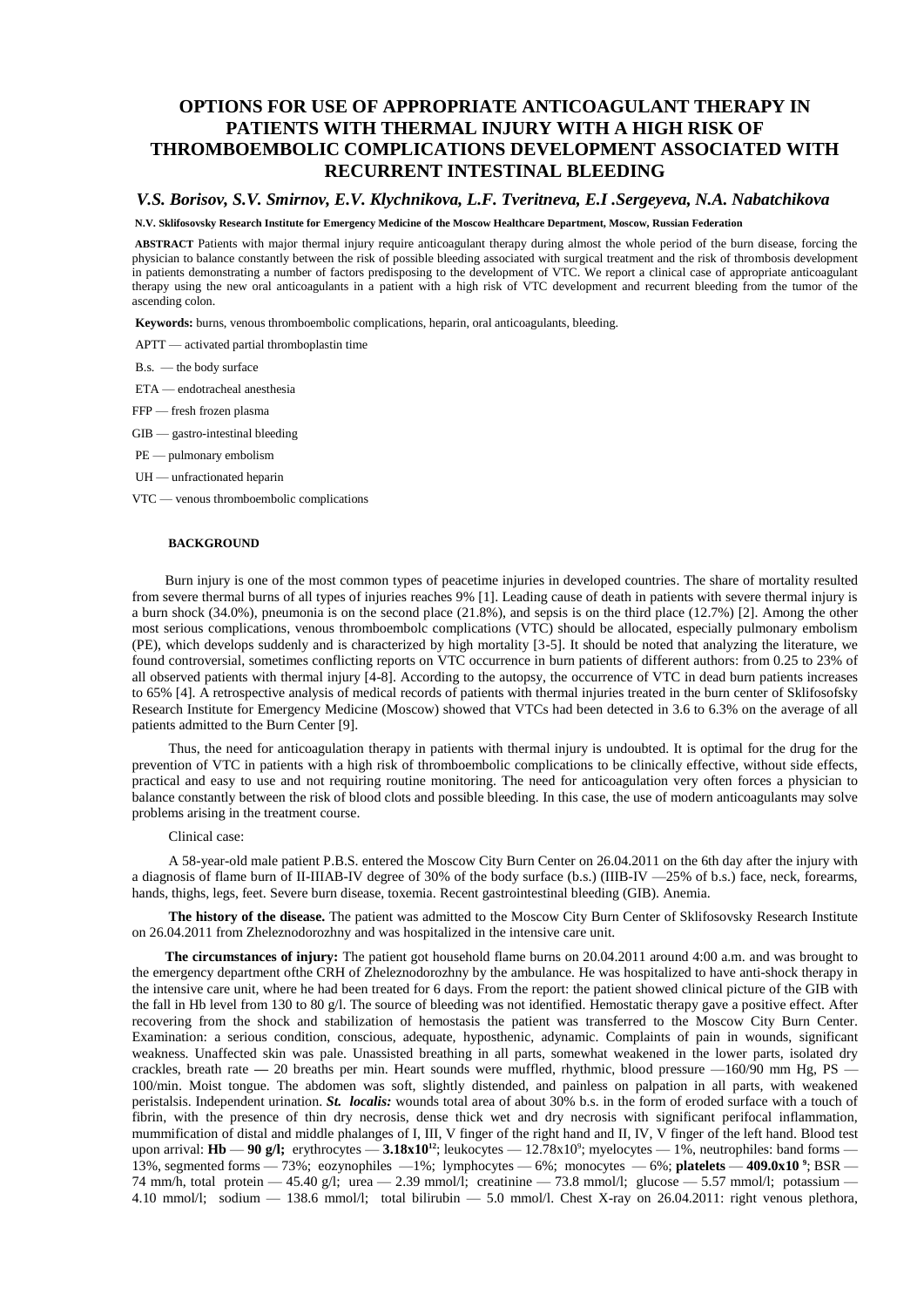# **OPTIONS FOR USE OF APPROPRIATE ANTICOAGULANT THERAPY IN PATIENTS WITH THERMAL INJURY WITH A HIGH RISK OF THROMBOEMBOLIC COMPLICATIONS DEVELOPMENT ASSOCIATED WITH RECURRENT INTESTINAL BLEEDING**

# *V.S. Borisov, S.V. Smirnov, E.V. Klychnikova, L.F. Tveritneva, E.I .Sergeyeva, N.A. Nabatchikova*

#### **N.V. Sklifosovsky Research Institute for Emergency Medicine of the Moscow Healthcare Department, Moscow, Russian Federation**

**ABSTRACT** Patients with major thermal injury require anticoagulant therapy during almost the whole period of the burn disease, forcing the physician to balance constantly between the risk of possible bleeding associated with surgical treatment and the risk of thrombosis development in patients demonstrating a number of factors predisposing to the development of VTC. We report a clinical case of appropriate anticoagulant therapy using the new oral anticoagulants in a patient with a high risk of VTC development and recurrent bleeding from the tumor of the ascending colon.

**Keywords:** burns, venous thromboembolic complications, heparin, oral anticoagulants, bleeding.

APTT — activated partial thromboplastin time

B.s. — the body surface

ETA — endotracheal anesthesia

FFP — fresh frozen plasma

- GIB gastro-intestinal bleeding
- PE pulmonary embolism
- UH unfractionated heparin
- VTC venous thromboembolic complications

#### **BACKGROUND**

Burn injury is one of the most common types of peacetime injuries in developed countries. The share of mortality resulted from severe thermal burns of all types of injuries reaches 9% [1]. Leading cause of death in patients with severe thermal injury is a burn shock (34.0%), pneumonia is on the second place (21.8%), and sepsis is on the third place (12.7%) [2]. Among the other most serious complications, venous thromboembolc complications (VTC) should be allocated, especially pulmonary embolism (PE), which develops suddenly and is characterized by high mortality [3-5]. It should be noted that analyzing the literature, we found controversial, sometimes conflicting reports on VTC occurrence in burn patients of different authors: from 0.25 to 23% of all observed patients with thermal injury [4-8]. According to the autopsy, the occurrence of VTC in dead burn patients increases to 65% [4]. A retrospective analysis of medical records of patients with thermal injuries treated in the burn center of Sklifosofsky Research Institute for Emergency Medicine (Moscow) showed that VTCs had been detected in 3.6 to 6.3% on the average of all patients admitted to the Burn Center [9].

Thus, the need for anticoagulation therapy in patients with thermal injury is undoubted. It is optimal for the drug for the prevention of VTC in patients with a high risk of thromboembolic complications to be clinically effective, without side effects, practical and easy to use and not requiring routine monitoring. The need for anticoagulation very often forces a physician to balance constantly between the risk of blood clots and possible bleeding. In this case, the use of modern anticoagulants may solve problems arising in the treatment course.

#### Clinical case:

A 58-year-old male patient P.B.S. entered the Moscow City Burn Center on 26.04.2011 on the 6th day after the injury with a diagnosis of flame burn of II-IIIAB-IV degree of 30% of the body surface (b.s.) (IIIB-IV —25% of b.s.) face, neck, forearms, hands, thighs, legs, feet. Severe burn disease, toxemia. Recent gastrointestinal bleeding (GIB). Anemia.

**The history of the disease.** The patient was admitted to the Moscow City Burn Center of Sklifosovsky Research Institute on 26.04.2011 from Zheleznodorozhny and was hospitalized in the intensive care unit.

**The circumstances of injury:** The patient got household flame burns on 20.04.2011 around 4:00 a.m. and was brought to the emergency department ofthe CRH of Zheleznodorozhny by the ambulance. He was hospitalized to have anti-shock therapy in the intensive care unit, where he had been treated for 6 days. From the report: the patient showed clinical picture of the GIB with the fall in Hb level from 130 to 80 g/l. The source of bleeding was not identified. Hemostatic therapy gave a positive effect. After recovering from the shock and stabilization of hemostasis the patient was transferred to the Moscow City Burn Center. Examination: a serious condition, conscious, adequate, hyposthenic, adynamic. Complaints of pain in wounds, significant weakness. Unaffected skin was pale. Unassisted breathing in all parts, somewhat weakened in the lower parts, isolated dry crackles, breath rate **—** 20 breaths per min. Heart sounds were muffled, rhythmic, blood pressure —160/90 mm Hg, PS — 100/min. Moist tongue. The abdomen was soft, slightly distended, and painless on palpation in all parts, with weakened peristalsis. Independent urination. *St. localis:* wounds total area of about 30% b.s. in the form of eroded surface with a touch of fibrin, with the presence of thin dry necrosis, dense thick wet and dry necrosis with significant perifocal inflammation, mummification of distal and middle phalanges of I, III, V finger of the right hand and II, IV, V finger of the left hand. Blood test upon arrival:  $\text{Hb} - 90 \text{ g/l}$ ; erythrocytes  $- 3.18 \times 10^{12}$ ; leukocytes  $- 12.78 \times 10^{9}$ ; myelocytes  $- 1\%$ , neutrophiles: band forms  $-$ 13%, segmented forms — 73%; eozynophiles —1%; lymphocytes — 6%; monocytes — 6%; **platelets** — **409.0x10 <sup>9</sup>** ; BSR — 74 mm/h, total protein  $-45.40$  g/l; urea  $-2.39$  mmol/l; creatinine  $-73.8$  mmol/l; glucose  $-5.57$  mmol/l; potassium  $-$ 4.10 mmol/l; sodium — 138.6 mmol/l; total bilirubin — 5.0 mmol/l. Chest X-ray on 26.04.2011: right venous plethora,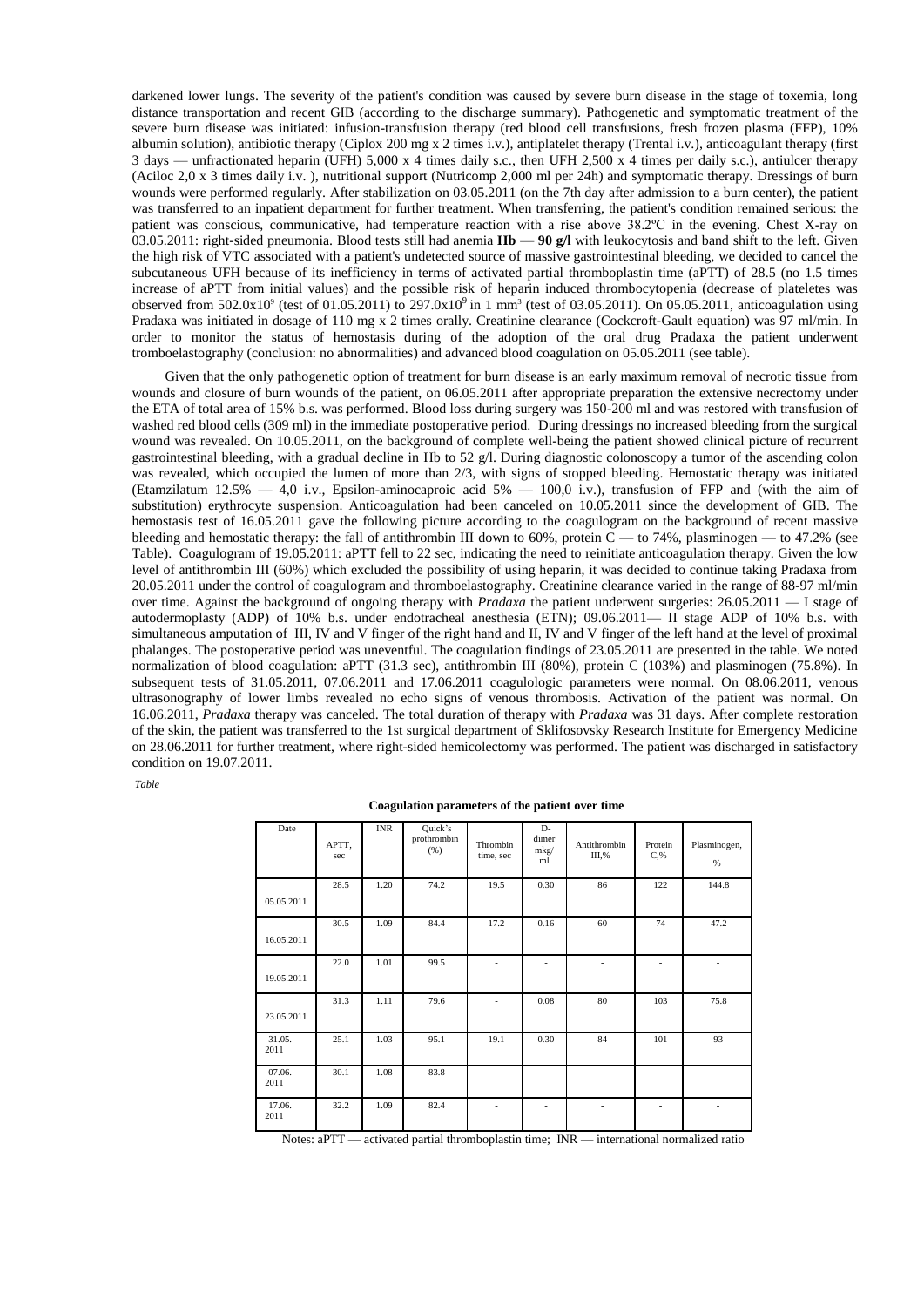darkened lower lungs. The severity of the patient's condition was caused by severe burn disease in the stage of toxemia, long distance transportation and recent GIB (according to the discharge summary). Pathogenetic and symptomatic treatment of the severe burn disease was initiated: infusion-transfusion therapy (red blood cell transfusions, fresh frozen plasma (FFP), 10% albumin solution), antibiotic therapy (Ciplox 200 mg x 2 times i.v.), antiplatelet therapy (Trental i.v.), anticoagulant therapy (first 3 days — unfractionated heparin (UFH) 5,000 x 4 times daily s.c., then UFH 2,500 x 4 times per daily s.c.), antiulcer therapy (Aciloc 2,0 x 3 times daily i.v. ), nutritional support (Nutricomp 2,000 ml per 24h) and symptomatic therapy. Dressings of burn wounds were performed regularly. After stabilization on 03.05.2011 (on the 7th day after admission to a burn center), the patient was transferred to an inpatient department for further treatment. When transferring, the patient's condition remained serious: the patient was conscious, communicative, had temperature reaction with a rise above 38.2ºC in the evening. Chest X-ray on 03.05.2011: right-sided pneumonia. Blood tests still had anemia **Hb** — **90 g/l** with leukocytosis and band shift to the left. Given the high risk of VTC associated with a patient's undetected source of massive gastrointestinal bleeding, we decided to cancel the subcutaneous UFH because of its inefficiency in terms of activated partial thromboplastin time (aPTT) of 28.5 (no 1.5 times increase of aPTT from initial values) and the possible risk of heparin induced thrombocytopenia (decrease of plateletes was observed from  $502.0x10^9$  (test of  $01.05.2011$ ) to  $297.0x10^9$  in 1 mm<sup>3</sup> (test of 03.05.2011). On 05.05.2011, anticoagulation using Pradaxa was initiated in dosage of 110 mg x 2 times orally. Creatinine clearance (Cockcroft-Gault equation) was 97 ml/min. In order to monitor the status of hemostasis during of the adoption of the oral drug Pradaxa the patient underwent tromboelastography (conclusion: no abnormalities) and advanced blood coagulation on 05.05.2011 (see table).

Given that the only pathogenetic option of treatment for burn disease is an early maximum removal of necrotic tissue from wounds and closure of burn wounds of the patient, on 06.05.2011 after appropriate preparation the extensive necrectomy under the ETA of total area of 15% b.s. was performed. Blood loss during surgery was 150-200 ml and was restored with transfusion of washed red blood cells (309 ml) in the immediate postoperative period. During dressings no increased bleeding from the surgical wound was revealed. On 10.05.2011, on the background of complete well-being the patient showed clinical picture of recurrent gastrointestinal bleeding, with a gradual decline in Hb to 52  $g/l$ . During diagnostic colonoscopy a tumor of the ascending colon was revealed, which occupied the lumen of more than 2/3, with signs of stopped bleeding. Hemostatic therapy was initiated (Etamzilatum 12.5%  $-$  4,0 i.v., Epsilon-aminocaproic acid 5%  $-$  100,0 i.v.), transfusion of FFP and (with the aim of substitution) erythrocyte suspension. Anticoagulation had been canceled on 10.05.2011 since the development of GIB. The hemostasis test of 16.05.2011 gave the following picture according to the coagulogram on the background of recent massive bleeding and hemostatic therapy: the fall of antithrombin III down to 60%, protein  $\overline{C}$  — to 74%, plasminogen — to 47.2% (see Table). Coagulogram of 19.05.2011: aPTT fell to 22 sec, indicating the need to reinitiate anticoagulation therapy. Given the low level of antithrombin III (60%) which excluded the possibility of using heparin, it was decided to continue taking Pradaxa from 20.05.2011 under the control of coagulogram and thromboelastography. Creatinine clearance varied in the range of 88-97 ml/min over time. Against the background of ongoing therapy with *Pradaxa* the patient underwent surgeries: 26.05.2011 — I stage of autodermoplasty (ADP) of 10% b.s. under endotracheal anesthesia (ETN); 09.06.2011— II stage ADP of 10% b.s. with simultaneous amputation of III, IV and V finger of the right hand and II, IV and V finger of the left hand at the level of proximal phalanges. The postoperative period was uneventful. The coagulation findings of 23.05.2011 are presented in the table. We noted normalization of blood coagulation: aPTT (31.3 sec), antithrombin III (80%), protein C (103%) and plasminogen (75.8%). In subsequent tests of 31.05.2011, 07.06.2011 and 17.06.2011 coagulologic parameters were normal. On 08.06.2011, venous ultrasonography of lower limbs revealed no echo signs of venous thrombosis. Activation of the patient was normal. On 16.06.2011, *Pradaxa* therapy was canceled. The total duration of therapy with *Pradaxa* was 31 days. After complete restoration of the skin, the patient was transferred to the 1st surgical department of Sklifosovsky Research Institute for Emergency Medicine on 28.06.2011 for further treatment, where right-sided hemicolectomy was performed. The patient was discharged in satisfactory condition on 19.07.2011.

*Table*

| Date           | APTT,<br>sec | <b>INR</b> | Quick's<br>prothrombin<br>(%) | Thrombin<br>time, sec | D-<br>dimer<br>mkg/<br>ml | Antithrombin<br>III,% | Protein<br>$C, \%$ | Plasminogen,<br>% |
|----------------|--------------|------------|-------------------------------|-----------------------|---------------------------|-----------------------|--------------------|-------------------|
| 05.05.2011     | 28.5         | 1.20       | 74.2                          | 19.5                  | 0.30                      | 86                    | 122                | 144.8             |
| 16.05.2011     | 30.5         | 1.09       | 84.4                          | 17.2                  | 0.16                      | 60                    | 74                 | 47.2              |
| 19.05.2011     | 22.0         | 1.01       | 99.5                          | ٠                     | ÷                         |                       |                    | ٠                 |
| 23.05.2011     | 31.3         | 1.11       | 79.6                          | $\overline{a}$        | 0.08                      | 80                    | 103                | 75.8              |
| 31.05.<br>2011 | 25.1         | 1.03       | 95.1                          | 19.1                  | 0.30                      | 84                    | 101                | 93                |
| 07.06.<br>2011 | 30.1         | 1.08       | 83.8                          | ٠                     | ٠                         | ÷,                    | ÷,                 | ٠                 |
| 17.06.<br>2011 | 32.2         | 1.09       | 82.4                          | ٠                     | ٠                         |                       | ÷,                 |                   |

| Coagulation parameters of the patient over time |
|-------------------------------------------------|
|-------------------------------------------------|

Notes: aPTT — activated partial thromboplastin time; INR — international normalized ratio